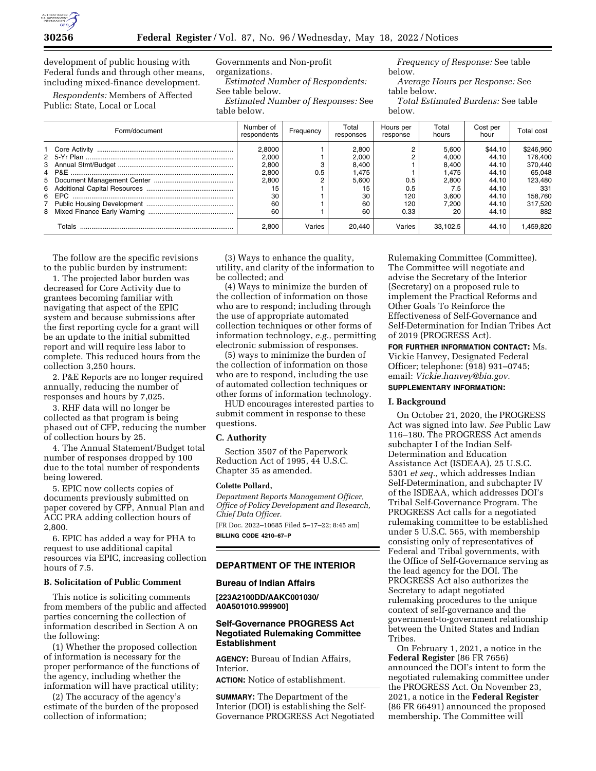

development of public housing with Federal funds and through other means, including mixed-finance development.

*Respondents:* Members of Affected Public: State, Local or Local

Governments and Non-profit organizations.

*Estimated Number of Respondents:*  See table below.

*Estimated Number of Responses:* See table below.

*Frequency of Response:* See table below.

*Average Hours per Response:* See table below.

*Total Estimated Burdens:* See table below.

| Form/document | Number of<br>respondents | Frequency | Total<br>responses | Hours per<br>response | Total<br>hours | Cost per<br>hour | Total cost |
|---------------|--------------------------|-----------|--------------------|-----------------------|----------------|------------------|------------|
|               | 2.8000                   |           | 2.800              |                       | 5.600          | \$44.10          | \$246,960  |
|               | 2.000                    |           | 2,000              |                       | 4,000          | 44.10            | 176.400    |
|               | 2.800                    |           | 8,400              |                       | 8.400          | 44.10            | 370.440    |
|               | 2,800                    | 0.5       | 1,475              |                       | l.475          | 44.10            | 65,048     |
|               | 2,800                    |           | 5.600              | 0.5                   | 2,800          | 44.10            | 123.480    |
|               | 15                       |           | 15                 | 0.5                   | 7.5            | 44.10            | 331        |
|               | 30                       |           | 30                 | 120                   | 3.600          | 44.10            | 158.760    |
|               | 60                       |           | 60                 | 120                   | 7.200          | 44.10            | 317.520    |
|               | 60                       |           | 60                 | 0.33                  | 20             | 44.10            | 882        |
| Totals        | 2.800                    | Varies    | 20.440             | Varies                | 33.102.5       | 44.10            | 1.459.820  |

The follow are the specific revisions to the public burden by instrument:

1. The projected labor burden was decreased for Core Activity due to grantees becoming familiar with navigating that aspect of the EPIC system and because submissions after the first reporting cycle for a grant will be an update to the initial submitted report and will require less labor to complete. This reduced hours from the collection 3,250 hours.

2. P&E Reports are no longer required annually, reducing the number of responses and hours by 7,025.

3. RHF data will no longer be collected as that program is being phased out of CFP, reducing the number of collection hours by 25.

4. The Annual Statement/Budget total number of responses dropped by 100 due to the total number of respondents being lowered.

5. EPIC now collects copies of documents previously submitted on paper covered by CFP, Annual Plan and ACC PRA adding collection hours of 2,800.

6. EPIC has added a way for PHA to request to use additional capital resources via EPIC, increasing collection hours of 7.5.

## **B. Solicitation of Public Comment**

This notice is soliciting comments from members of the public and affected parties concerning the collection of information described in Section A on the following:

(1) Whether the proposed collection of information is necessary for the proper performance of the functions of the agency, including whether the information will have practical utility;

(2) The accuracy of the agency's estimate of the burden of the proposed collection of information;

(3) Ways to enhance the quality, utility, and clarity of the information to be collected; and

(4) Ways to minimize the burden of the collection of information on those who are to respond; including through the use of appropriate automated collection techniques or other forms of information technology, *e.g.,* permitting electronic submission of responses.

(5) ways to minimize the burden of the collection of information on those who are to respond, including the use of automated collection techniques or other forms of information technology.

HUD encourages interested parties to submit comment in response to these questions.

#### **C. Authority**

Section 3507 of the Paperwork Reduction Act of 1995, 44 U.S.C. Chapter 35 as amended.

### **Colette Pollard,**

*Department Reports Management Officer, Office of Policy Development and Research, Chief Data Officer.*  [FR Doc. 2022–10685 Filed 5–17–22; 8:45 am]

**BILLING CODE 4210–67–P** 

#### **DEPARTMENT OF THE INTERIOR**

### **Bureau of Indian Affairs**

**[223A2100DD/AAKC001030/ A0A501010.999900]** 

### **Self-Governance PROGRESS Act Negotiated Rulemaking Committee Establishment**

**AGENCY:** Bureau of Indian Affairs, Interior.

**ACTION:** Notice of establishment.

**SUMMARY:** The Department of the Interior (DOI) is establishing the Self-Governance PROGRESS Act Negotiated

Rulemaking Committee (Committee). The Committee will negotiate and advise the Secretary of the Interior (Secretary) on a proposed rule to implement the Practical Reforms and Other Goals To Reinforce the Effectiveness of Self-Governance and Self-Determination for Indian Tribes Act of 2019 (PROGRESS Act).

**FOR FURTHER INFORMATION CONTACT:** Ms. Vickie Hanvey, Designated Federal Officer; telephone: (918) 931–0745; email: *[Vickie.hanvey@bia.gov.](mailto:Vickie.hanvey@bia.gov)*  **SUPPLEMENTARY INFORMATION:** 

#### **I. Background**

On October 21, 2020, the PROGRESS Act was signed into law. *See* Public Law 116–180. The PROGRESS Act amends subchapter I of the Indian Self-Determination and Education Assistance Act (ISDEAA), 25 U.S.C. 5301 *et seq.,* which addresses Indian Self-Determination, and subchapter IV of the ISDEAA, which addresses DOI's Tribal Self-Governance Program. The PROGRESS Act calls for a negotiated rulemaking committee to be established under 5 U.S.C. 565, with membership consisting only of representatives of Federal and Tribal governments, with the Office of Self-Governance serving as the lead agency for the DOI. The PROGRESS Act also authorizes the Secretary to adapt negotiated rulemaking procedures to the unique context of self-governance and the government-to-government relationship between the United States and Indian Tribes.

On February 1, 2021, a notice in the **Federal Register** (86 FR 7656) announced the DOI's intent to form the negotiated rulemaking committee under the PROGRESS Act. On November 23, 2021, a notice in the **Federal Register**  (86 FR 66491) announced the proposed membership. The Committee will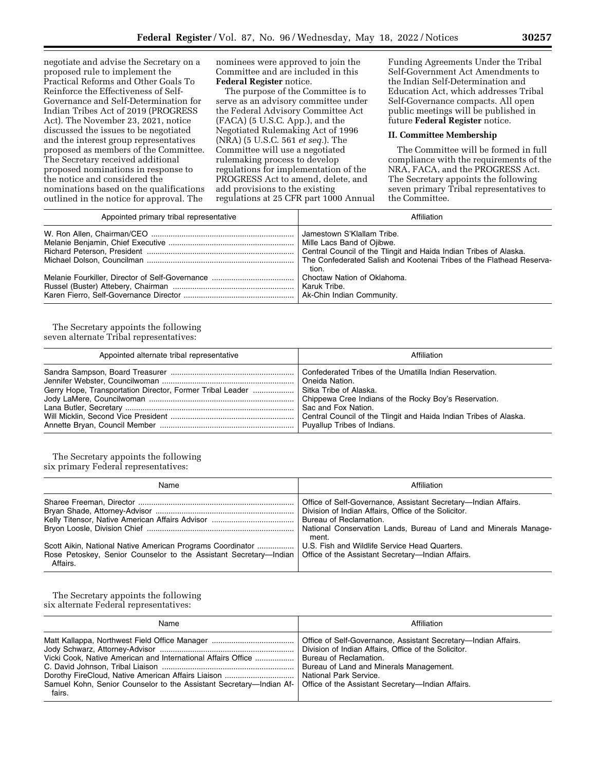negotiate and advise the Secretary on a proposed rule to implement the Practical Reforms and Other Goals To Reinforce the Effectiveness of Self-Governance and Self-Determination for Indian Tribes Act of 2019 (PROGRESS Act). The November 23, 2021, notice discussed the issues to be negotiated and the interest group representatives proposed as members of the Committee. The Secretary received additional proposed nominations in response to the notice and considered the nominations based on the qualifications outlined in the notice for approval. The

nominees were approved to join the Committee and are included in this **Federal Register** notice.

The purpose of the Committee is to serve as an advisory committee under the Federal Advisory Committee Act (FACA) (5 U.S.C. App.), and the Negotiated Rulemaking Act of 1996 (NRA) (5 U.S.C. 561 *et seq.*). The Committee will use a negotiated rulemaking process to develop regulations for implementation of the PROGRESS Act to amend, delete, and add provisions to the existing regulations at 25 CFR part 1000 Annual Funding Agreements Under the Tribal Self-Government Act Amendments to the Indian Self-Determination and Education Act, which addresses Tribal Self-Governance compacts. All open public meetings will be published in future **Federal Register** notice.

### **II. Committee Membership**

The Committee will be formed in full compliance with the requirements of the NRA, FACA, and the PROGRESS Act. The Secretary appoints the following seven primary Tribal representatives to the Committee.

| Appointed primary tribal representative | Affiliation                                                                                                                                                                                                    |
|-----------------------------------------|----------------------------------------------------------------------------------------------------------------------------------------------------------------------------------------------------------------|
|                                         | Jamestown S'Klallam Tribe.<br>Mille Lacs Band of Ojibwe.<br>Central Council of the Tlingit and Haida Indian Tribes of Alaska.<br>The Confederated Salish and Kootenai Tribes of the Flathead Reserva-<br>tion. |
|                                         | Choctaw Nation of Oklahoma.<br>Karuk Tribe.                                                                                                                                                                    |

The Secretary appoints the following seven alternate Tribal representatives:

| Appointed alternate tribal representative                                         | Affiliation                                                                                                                                                                        |
|-----------------------------------------------------------------------------------|------------------------------------------------------------------------------------------------------------------------------------------------------------------------------------|
| Gerry Hope, Transportation Director, Former Tribal Leader  Sitka Tribe of Alaska. | Confederated Tribes of the Umatilla Indian Reservation.<br><sup>1</sup> Oneida Nation.<br>Sac and Fox Nation.<br>Central Council of the Tlingit and Haida Indian Tribes of Alaska. |

The Secretary appoints the following six primary Federal representatives:

| Name                                                                                                                                                                                                                                             | Affiliation                                                                                                                                                                                         |
|--------------------------------------------------------------------------------------------------------------------------------------------------------------------------------------------------------------------------------------------------|-----------------------------------------------------------------------------------------------------------------------------------------------------------------------------------------------------|
|                                                                                                                                                                                                                                                  | Office of Self-Governance, Assistant Secretary—Indian Affairs.<br>Division of Indian Affairs, Office of the Solicitor.<br>National Conservation Lands, Bureau of Land and Minerals Manage-<br>ment. |
| Scott Aikin, National Native American Programs Coordinator    U.S. Fish and Wildlife Service Head Quarters.<br>Rose Petoskey, Senior Counselor to the Assistant Secretary—Indian   Office of the Assistant Secretary—Indian Affairs.<br>Affairs. |                                                                                                                                                                                                     |

The Secretary appoints the following six alternate Federal representatives:

| Name                                                                                                                                                                                                                        | Affiliation                                                                                                                                                       |
|-----------------------------------------------------------------------------------------------------------------------------------------------------------------------------------------------------------------------------|-------------------------------------------------------------------------------------------------------------------------------------------------------------------|
| Vicki Cook, Native American and International Affairs Office    Bureau of Reclamation.<br>Samuel Kohn, Senior Counselor to the Assistant Secretary—Indian Af-   Office of the Assistant Secretary—Indian Affairs.<br>fairs. | Office of Self-Governance, Assistant Secretary—Indian Affairs.<br>Division of Indian Affairs, Office of the Solicitor.<br>Bureau of Land and Minerals Management. |